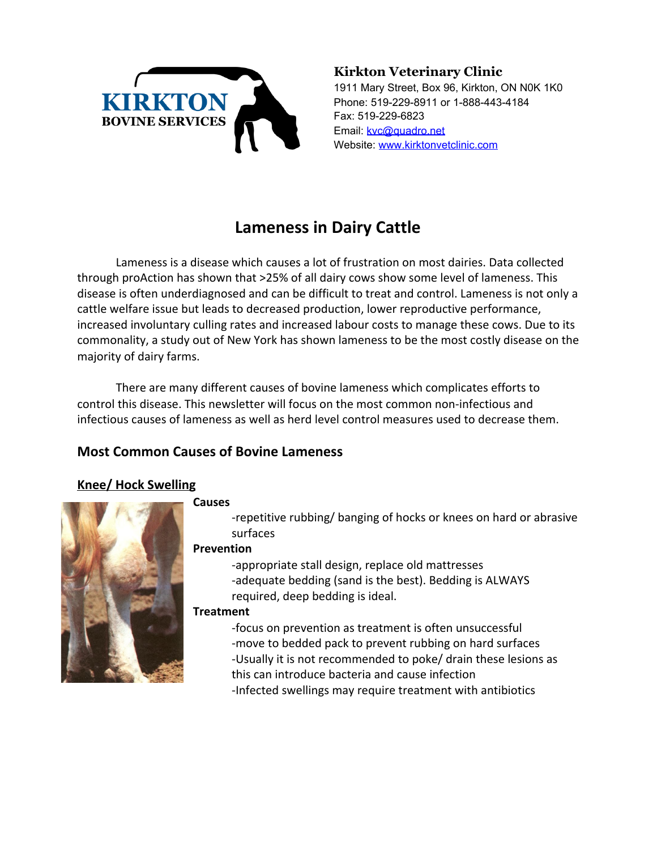

### **Kirkton Veterinary Clinic**

1911 Mary Street, Box 96, Kirkton, ON N0K 1K0 Phone: 519-229-8911 or 1-888-443-4184 Fax: 519-229-6823 Email: [kvc@quadro.net](mailto:kvc@quadro.net) Website: [www.kirktonvetclinic.com](http://www.kirktonvetclinic.com/)

# **Lameness in Dairy Cattle**

Lameness is a disease which causes a lot of frustration on most dairies. Data collected through proAction has shown that >25% of all dairy cows show some level of lameness. This disease is often underdiagnosed and can be difficult to treat and control. Lameness is not only a cattle welfare issue but leads to decreased production, lower reproductive performance, increased involuntary culling rates and increased labour costs to manage these cows. Due to its commonality, a study out of New York has shown lameness to be the most costly disease on the majority of dairy farms.

There are many different causes of bovine lameness which complicates efforts to control this disease. This newsletter will focus on the most common non-infectious and infectious causes of lameness as well as herd level control measures used to decrease them.

## **Most Common Causes of Bovine Lameness**

### **Knee/ Hock Swelling**

#### **Causes**



-repetitive rubbing/ banging of hocks or knees on hard or abrasive surfaces

### **Prevention**

-appropriate stall design, replace old mattresses -adequate bedding (sand is the best). Bedding is ALWAYS required, deep bedding is ideal.

### **Treatment**

-focus on prevention as treatment is often unsuccessful -move to bedded pack to prevent rubbing on hard surfaces -Usually it is not recommended to poke/ drain these lesions as this can introduce bacteria and cause infection -Infected swellings may require treatment with antibiotics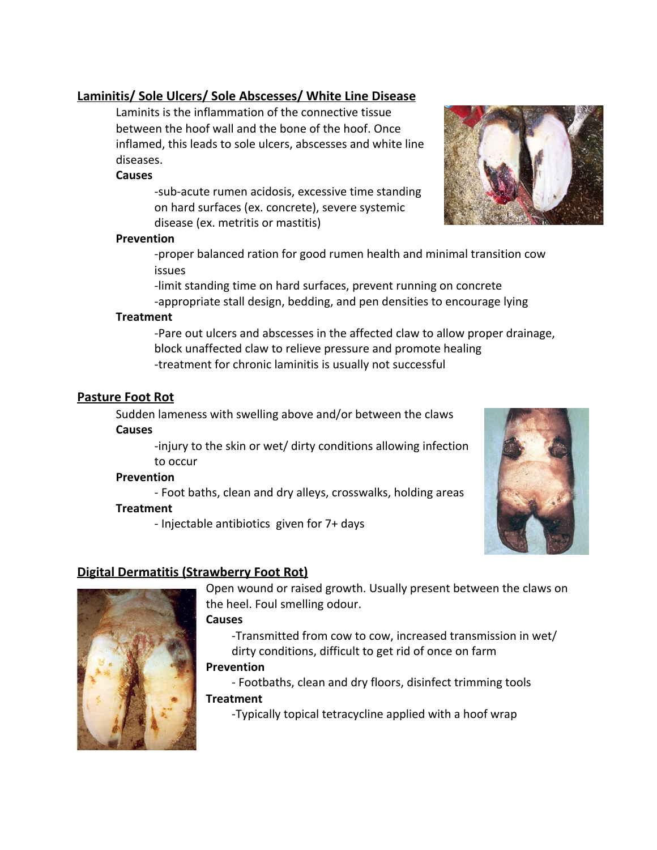### **Laminitis/ Sole Ulcers/ Sole Abscesses/ White Line Disease**

Laminits is the inflammation of the connective tissue between the hoof wall and the bone of the hoof. Once inflamed, this leads to sole ulcers, abscesses and white line diseases.

#### **Causes**

-sub-acute rumen acidosis, excessive time standing on hard surfaces (ex. concrete), severe systemic disease (ex. metritis or mastitis)

#### **Prevention**

-proper balanced ration for good rumen health and minimal transition cow issues

-limit standing time on hard surfaces, prevent running on concrete -appropriate stall design, bedding, and pen densities to encourage lying

#### **Treatment**

-Pare out ulcers and abscesses in the affected claw to allow proper drainage, block unaffected claw to relieve pressure and promote healing -treatment for chronic laminitis is usually not successful

#### **Pasture Foot Rot**

Sudden lameness with swelling above and/or between the claws **Causes**

> -injury to the skin or wet/ dirty conditions allowing infection to occur

#### **Prevention**

- Foot baths, clean and dry alleys, crosswalks, holding areas **Treatment**

- Injectable antibiotics given for 7+ days



### **Digital Dermatitis (Strawberry Foot Rot)**



Open wound or raised growth. Usually present between the claws on the heel. Foul smelling odour.

#### **Causes**

-Transmitted from cow to cow, increased transmission in wet/ dirty conditions, difficult to get rid of once on farm

#### **Prevention**

- Footbaths, clean and dry floors, disinfect trimming tools **Treatment**

-Typically topical tetracycline applied with a hoof wrap